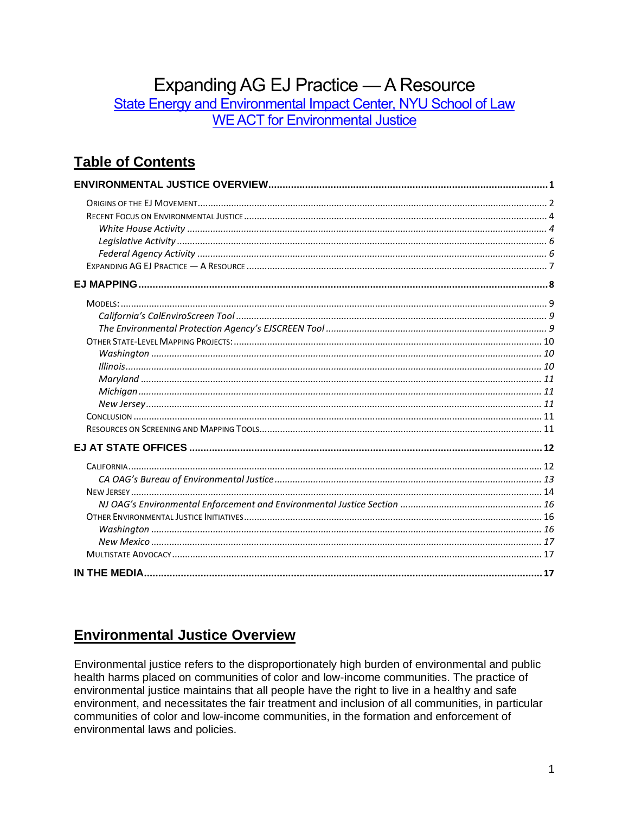# Expanding AG EJ Practice - A Resource

State Energy and Environmental Impact Center, NYU School of Law **WE ACT for Environmental Justice** 

# **Table of Contents**

# <span id="page-0-0"></span>**Environmental Justice Overview**

Environmental justice refers to the disproportionately high burden of environmental and public health harms placed on communities of color and low-income communities. The practice of environmental justice maintains that all people have the right to live in a healthy and safe environment, and necessitates the fair treatment and inclusion of all communities, in particular communities of color and low-income communities, in the formation and enforcement of environmental laws and policies.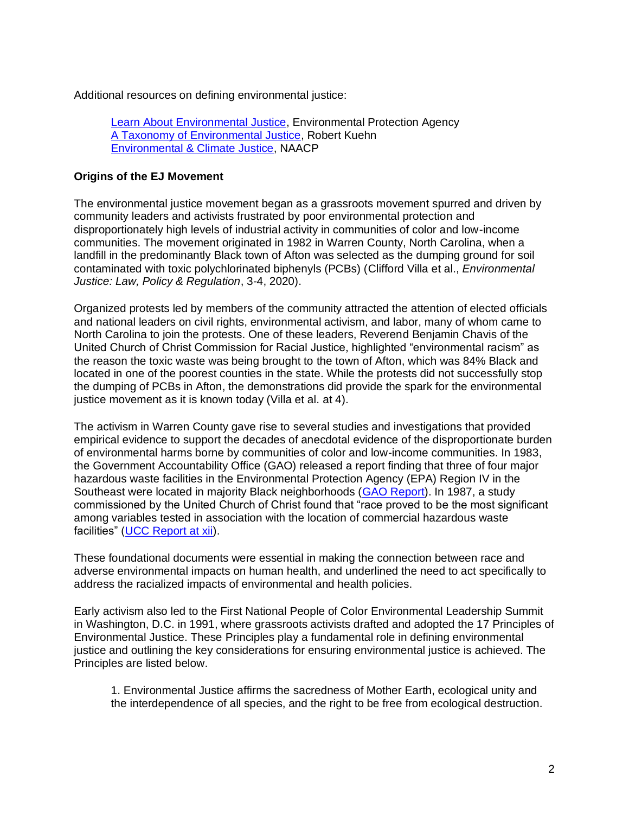Additional resources on defining environmental justice:

[Learn About Environmental Justice,](https://www.epa.gov/environmentaljustice/learn-about-environmental-justice) Environmental Protection Agency [A Taxonomy of Environmental Justice,](https://papers.ssrn.com/sol3/papers.cfm?abstract_id=628088) Robert Kuehn [Environmental & Climate Justice,](https://naacp.org/know-issues/environmental-climate-justice) NAACP

#### <span id="page-1-0"></span>**Origins of the EJ Movement**

The environmental justice movement began as a grassroots movement spurred and driven by community leaders and activists frustrated by poor environmental protection and disproportionately high levels of industrial activity in communities of color and low-income communities. The movement originated in 1982 in Warren County, North Carolina, when a landfill in the predominantly Black town of Afton was selected as the dumping ground for soil contaminated with toxic polychlorinated biphenyls (PCBs) (Clifford Villa et al., *Environmental Justice: Law, Policy & Regulation*, 3-4, 2020).

Organized protests led by members of the community attracted the attention of elected officials and national leaders on civil rights, environmental activism, and labor, many of whom came to North Carolina to join the protests. One of these leaders, Reverend Benjamin Chavis of the United Church of Christ Commission for Racial Justice, highlighted "environmental racism" as the reason the toxic waste was being brought to the town of Afton, which was 84% Black and located in one of the poorest counties in the state. While the protests did not successfully stop the dumping of PCBs in Afton, the demonstrations did provide the spark for the environmental justice movement as it is known today (Villa et al. at 4).

The activism in Warren County gave rise to several studies and investigations that provided empirical evidence to support the decades of anecdotal evidence of the disproportionate burden of environmental harms borne by communities of color and low-income communities. In 1983, the Government Accountability Office (GAO) released a report finding that three of four major hazardous waste facilities in the Environmental Protection Agency (EPA) Region IV in the Southeast were located in majority Black neighborhoods [\(GAO Report\)](https://www.gao.gov/assets/rced-83-168.pdf). In 1987, a study commissioned by the United Church of Christ found that "race proved to be the most significant among variables tested in association with the location of commercial hazardous waste facilities" [\(UCC Report](http://uccfiles.com/pdf/ToxicWastes&Race.pdf) at xii).

These foundational documents were essential in making the connection between race and adverse environmental impacts on human health, and underlined the need to act specifically to address the racialized impacts of environmental and health policies.

Early activism also led to the First National People of Color Environmental Leadership Summit in Washington, D.C. in 1991, where grassroots activists drafted and adopted the 17 Principles of Environmental Justice. These Principles play a fundamental role in defining environmental justice and outlining the key considerations for ensuring environmental justice is achieved. The Principles are listed below.

1. Environmental Justice affirms the sacredness of Mother Earth, ecological unity and the interdependence of all species, and the right to be free from ecological destruction.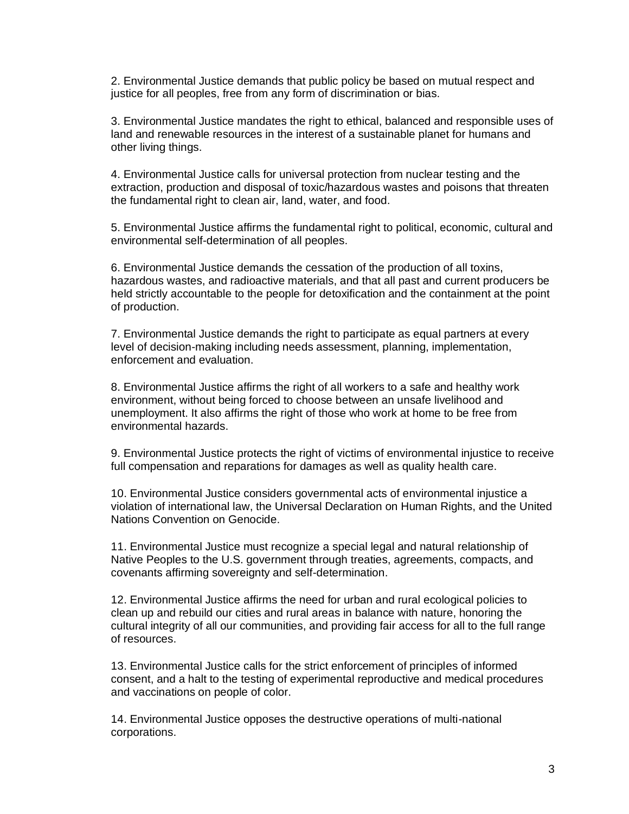2. Environmental Justice demands that public policy be based on mutual respect and justice for all peoples, free from any form of discrimination or bias.

3. Environmental Justice mandates the right to ethical, balanced and responsible uses of land and renewable resources in the interest of a sustainable planet for humans and other living things.

4. Environmental Justice calls for universal protection from nuclear testing and the extraction, production and disposal of toxic/hazardous wastes and poisons that threaten the fundamental right to clean air, land, water, and food.

5. Environmental Justice affirms the fundamental right to political, economic, cultural and environmental self-determination of all peoples.

6. Environmental Justice demands the cessation of the production of all toxins, hazardous wastes, and radioactive materials, and that all past and current producers be held strictly accountable to the people for detoxification and the containment at the point of production.

7. Environmental Justice demands the right to participate as equal partners at every level of decision-making including needs assessment, planning, implementation, enforcement and evaluation.

8. Environmental Justice affirms the right of all workers to a safe and healthy work environment, without being forced to choose between an unsafe livelihood and unemployment. It also affirms the right of those who work at home to be free from environmental hazards.

9. Environmental Justice protects the right of victims of environmental injustice to receive full compensation and reparations for damages as well as quality health care.

10. Environmental Justice considers governmental acts of environmental injustice a violation of international law, the Universal Declaration on Human Rights, and the United Nations Convention on Genocide.

11. Environmental Justice must recognize a special legal and natural relationship of Native Peoples to the U.S. government through treaties, agreements, compacts, and covenants affirming sovereignty and self-determination.

12. Environmental Justice affirms the need for urban and rural ecological policies to clean up and rebuild our cities and rural areas in balance with nature, honoring the cultural integrity of all our communities, and providing fair access for all to the full range of resources.

13. Environmental Justice calls for the strict enforcement of principles of informed consent, and a halt to the testing of experimental reproductive and medical procedures and vaccinations on people of color.

14. Environmental Justice opposes the destructive operations of multi-national corporations.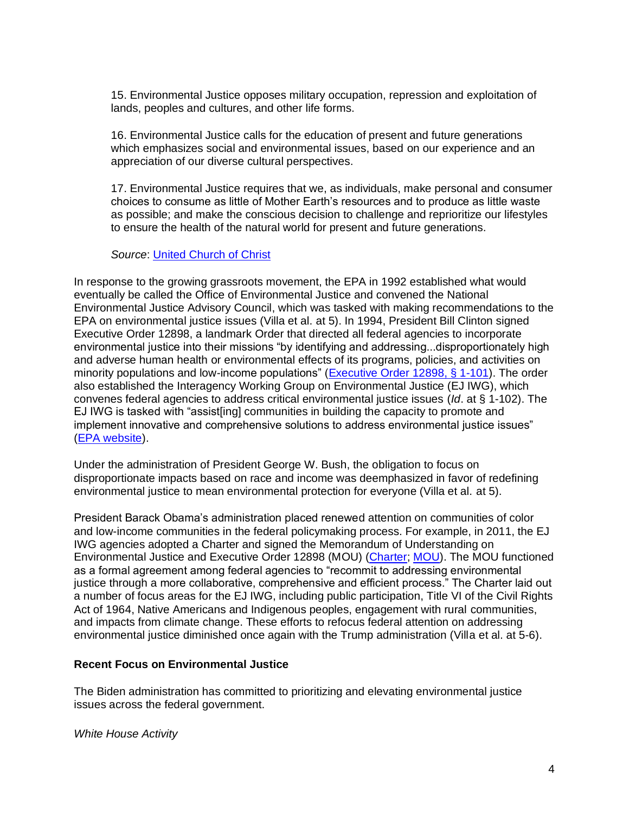15. Environmental Justice opposes military occupation, repression and exploitation of lands, peoples and cultures, and other life forms.

16. Environmental Justice calls for the education of present and future generations which emphasizes social and environmental issues, based on our experience and an appreciation of our diverse cultural perspectives.

17. Environmental Justice requires that we, as individuals, make personal and consumer choices to consume as little of Mother Earth's resources and to produce as little waste as possible; and make the conscious decision to challenge and reprioritize our lifestyles to ensure the health of the natural world for present and future generations.

#### *Source*: [United Church of Christ](https://www.ucc.org/what-we-do/justice-local-church-ministries/justice/faithful-action-ministries/environmental-justice/principles_of_environmental_justice/)

In response to the growing grassroots movement, the EPA in 1992 established what would eventually be called the Office of Environmental Justice and convened the National Environmental Justice Advisory Council, which was tasked with making recommendations to the EPA on environmental justice issues (Villa et al. at 5). In 1994, President Bill Clinton signed Executive Order 12898, a landmark Order that directed all federal agencies to incorporate environmental justice into their missions "by identifying and addressing...disproportionately high and adverse human health or environmental effects of its programs, policies, and activities on minority populations and low-income populations" [\(Executive Order 12898, §](https://www.archives.gov/files/federal-register/executive-orders/pdf/12898.pdf) 1-101). The order also established the Interagency Working Group on Environmental Justice (EJ IWG), which convenes federal agencies to address critical environmental justice issues (*Id*. at § 1-102). The EJ IWG is tasked with "assist[ing] communities in building the capacity to promote and implement innovative and comprehensive solutions to address environmental justice issues" [\(EPA website\)](https://www.epa.gov/environmentaljustice/overview-ej-iwg).

Under the administration of President George W. Bush, the obligation to focus on disproportionate impacts based on race and income was deemphasized in favor of redefining environmental justice to mean environmental protection for everyone (Villa et al. at 5).

President Barack Obama's administration placed renewed attention on communities of color and low-income communities in the federal policymaking process. For example, in 2011, the EJ IWG agencies adopted a Charter and signed the Memorandum of Understanding on Environmental Justice and Executive Order 12898 (MOU) [\(Charter;](https://www.epa.gov/environmentaljustice/charter-interagency-working-group-environmental-justice) [MOU\)](https://www.epa.gov/environmentaljustice/memorandum-understanding-environmental-justice-and-executive-order-12898). The MOU functioned as a formal agreement among federal agencies to "recommit to addressing environmental justice through a more collaborative, comprehensive and efficient process." The Charter laid out a number of focus areas for the EJ IWG, including public participation, Title VI of the Civil Rights Act of 1964, Native Americans and Indigenous peoples, engagement with rural communities, and impacts from climate change. These efforts to refocus federal attention on addressing environmental justice diminished once again with the Trump administration (Villa et al. at 5-6).

#### <span id="page-3-0"></span>**Recent Focus on Environmental Justice**

The Biden administration has committed to prioritizing and elevating environmental justice issues across the federal government.

<span id="page-3-1"></span>*White House Activity*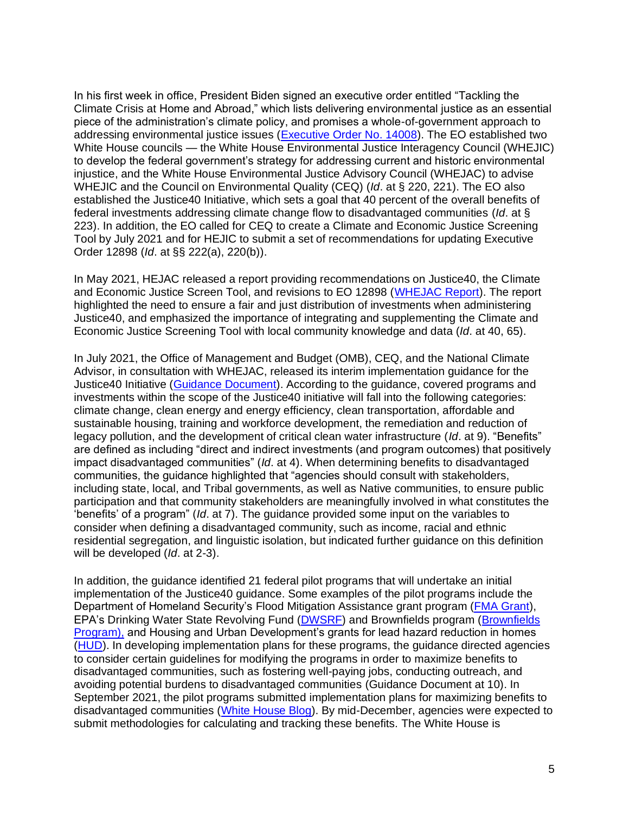In his first week in office, President Biden signed an executive order entitled "Tackling the Climate Crisis at Home and Abroad," which lists delivering environmental justice as an essential piece of the administration's climate policy, and promises a whole-of-government approach to addressing environmental justice issues [\(Executive Order No. 14008\)](https://www.whitehouse.gov/briefing-room/presidential-actions/2021/01/27/executive-order-on-tackling-the-climate-crisis-at-home-and-abroad/). The EO established two White House councils — the White House Environmental Justice Interagency Council (WHEJIC) to develop the federal government's strategy for addressing current and historic environmental injustice, and the White House Environmental Justice Advisory Council (WHEJAC) to advise WHEJIC and the Council on Environmental Quality (CEQ) (*Id*. at § 220, 221). The EO also established the Justice40 Initiative, which sets a goal that 40 percent of the overall benefits of federal investments addressing climate change flow to disadvantaged communities (*Id*. at § 223). In addition, the EO called for CEQ to create a Climate and Economic Justice Screening Tool by July 2021 and for HEJIC to submit a set of recommendations for updating Executive Order 12898 (*Id*. at §§ 222(a), 220(b)).

In May 2021, HEJAC released a report providing recommendations on Justice40, the Climate and Economic Justice Screen Tool, and revisions to EO 12898 [\(WHEJAC Report\)](https://www.epa.gov/sites/default/files/2021-05/documents/whejac_interim_final_recommendations_0.pdf). The report highlighted the need to ensure a fair and just distribution of investments when administering Justice40, and emphasized the importance of integrating and supplementing the Climate and Economic Justice Screening Tool with local community knowledge and data (*Id*. at 40, 65).

In July 2021, the Office of Management and Budget (OMB), CEQ, and the National Climate Advisor, in consultation with WHEJAC, released its interim implementation guidance for the Justice40 Initiative [\(Guidance Document\)](https://www.whitehouse.gov/wp-content/uploads/2021/07/M-21-28.pdf). According to the guidance, covered programs and investments within the scope of the Justice40 initiative will fall into the following categories: climate change, clean energy and energy efficiency, clean transportation, affordable and sustainable housing, training and workforce development, the remediation and reduction of legacy pollution, and the development of critical clean water infrastructure (*Id*. at 9). "Benefits" are defined as including "direct and indirect investments (and program outcomes) that positively impact disadvantaged communities" (*Id*. at 4). When determining benefits to disadvantaged communities, the guidance highlighted that "agencies should consult with stakeholders, including state, local, and Tribal governments, as well as Native communities, to ensure public participation and that community stakeholders are meaningfully involved in what constitutes the 'benefits' of a program" (*Id*. at 7). The guidance provided some input on the variables to consider when defining a disadvantaged community, such as income, racial and ethnic residential segregation, and linguistic isolation, but indicated further guidance on this definition will be developed (*Id*. at 2-3).

In addition, the guidance identified 21 federal pilot programs that will undertake an initial implementation of the Justice40 guidance. Some examples of the pilot programs include the Department of Homeland Security's Flood Mitigation Assistance grant program [\(FMA Grant\)](https://www.fema.gov/grants/mitigation/floods), EPA's Drinking Water State Revolving Fund [\(DWSRF\)](https://www.epa.gov/dwsrf) and Brownfields program [\(Brownfields](https://www.epa.gov/brownfields/overview-epas-brownfields-program)  [Program\),](https://www.epa.gov/brownfields/overview-epas-brownfields-program) and Housing and Urban Development's grants for lead hazard reduction in homes [\(HUD\)](https://www.hud.gov/program_offices/healthy_homes/lbp/lhc). In developing implementation plans for these programs, the guidance directed agencies to consider certain guidelines for modifying the programs in order to maximize benefits to disadvantaged communities, such as fostering well-paying jobs, conducting outreach, and avoiding potential burdens to disadvantaged communities (Guidance Document at 10). In September 2021, the pilot programs submitted implementation plans for maximizing benefits to disadvantaged communities [\(White House Blog\)](https://www.whitehouse.gov/omb/briefing-room/2021/12/02/delivering-on-justice40/). By mid-December, agencies were expected to submit methodologies for calculating and tracking these benefits. The White House is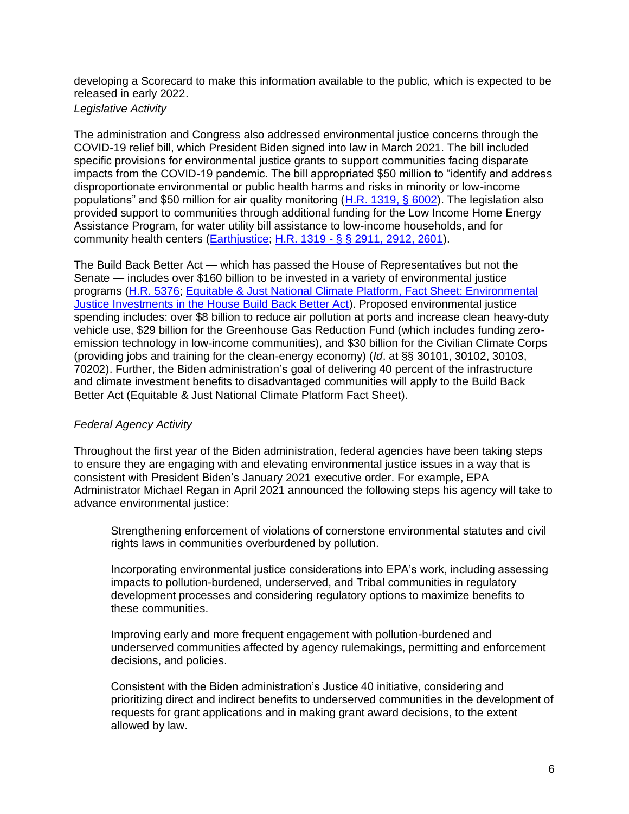developing a Scorecard to make this information available to the public, which is expected to be released in early 2022.

<span id="page-5-0"></span>*Legislative Activity*

The administration and Congress also addressed environmental justice concerns through the COVID-19 relief bill, which President Biden signed into law in March 2021. The bill included specific provisions for environmental justice grants to support communities facing disparate impacts from the COVID-19 pandemic. The bill appropriated \$50 million to "identify and address disproportionate environmental or public health harms and risks in minority or low-income populations" and \$50 million for air quality monitoring [\(H.R. 1319, §](https://www.congress.gov/bill/117th-congress/house-bill/1319/text#toc-HD1E09502A03545CAABE8EED9EFEAB125) 6002). The legislation also provided support to communities through additional funding for the Low Income Home Energy Assistance Program, for water utility bill assistance to low-income households, and for community health centers [\(Earthjustice;](https://earthjustice.org/news/press/2021/earthjustice-applauds-the-passage-of-covid-19-relief-bill) H.R. 1319 - § § [2911, 2912, 2601\)](https://www.congress.gov/bill/117th-congress/house-bill/1319/text#toc-HD1E09502A03545CAABE8EED9EFEAB125).

The Build Back Better Act — which has passed the House of Representatives but not the Senate — includes over \$160 billion to be invested in a variety of environmental justice programs [\(H.R. 5376;](https://www.congress.gov/bill/117th-congress/house-bill/5376/text) [Equitable & Just National Climate Platform, Fact Sheet: Environmental](https://ajustclimate.org/pressrelease.html?pId=1018)  [Justice Investments in the House Build Back Better Act\)](https://ajustclimate.org/pressrelease.html?pId=1018). Proposed environmental justice spending includes: over \$8 billion to reduce air pollution at ports and increase clean heavy-duty vehicle use, \$29 billion for the Greenhouse Gas Reduction Fund (which includes funding zeroemission technology in low-income communities), and \$30 billion for the Civilian Climate Corps (providing jobs and training for the clean-energy economy) (*Id*. at §§ 30101, 30102, 30103, 70202). Further, the Biden administration's goal of delivering 40 percent of the infrastructure and climate investment benefits to disadvantaged communities will apply to the Build Back Better Act (Equitable & Just National Climate Platform Fact Sheet).

## <span id="page-5-1"></span>*Federal Agency Activity*

Throughout the first year of the Biden administration, federal agencies have been taking steps to ensure they are engaging with and elevating environmental justice issues in a way that is consistent with President Biden's January 2021 executive order. For example, EPA Administrator Michael Regan in April 2021 announced the following steps his agency will take to advance environmental justice:

Strengthening enforcement of violations of cornerstone environmental statutes and civil rights laws in communities overburdened by pollution.

Incorporating environmental justice considerations into EPA's work, including assessing impacts to pollution-burdened, underserved, and Tribal communities in regulatory development processes and considering regulatory options to maximize benefits to these communities.

Improving early and more frequent engagement with pollution-burdened and underserved communities affected by agency rulemakings, permitting and enforcement decisions, and policies.

Consistent with the Biden administration's Justice 40 initiative, considering and prioritizing direct and indirect benefits to underserved communities in the development of requests for grant applications and in making grant award decisions, to the extent allowed by law.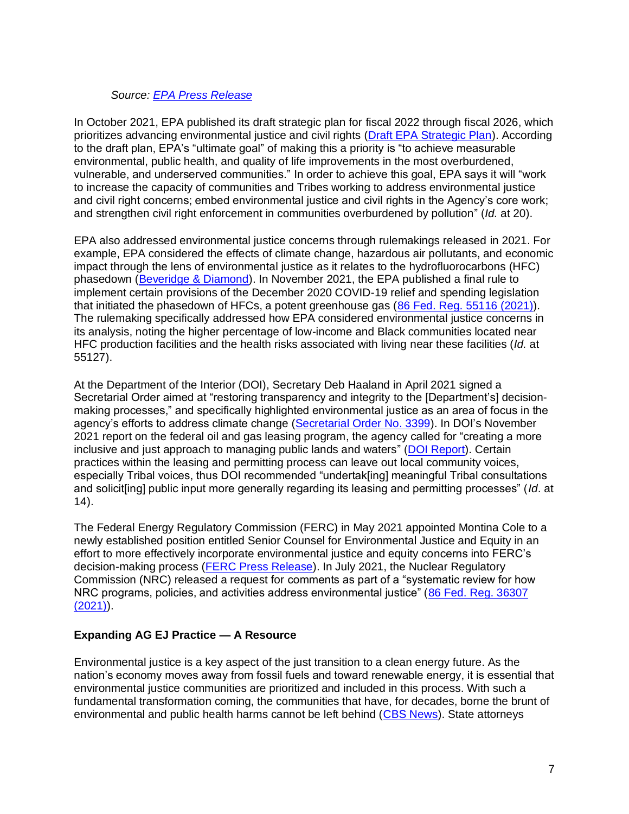#### *Source: [EPA Press Release](https://www.epa.gov/newsreleases/epa-administrator-announces-agency-actions-advance-environmental-justice)*

In October 2021, EPA published its draft strategic plan for fiscal 2022 through fiscal 2026, which prioritizes advancing environmental justice and civil rights [\(Draft EPA Strategic Plan\)](https://www.epa.gov/system/files/documents/2021-10/fy-2022-2026-epa-draft-strategic-plan.pdf). According to the draft plan, EPA's "ultimate goal" of making this a priority is "to achieve measurable environmental, public health, and quality of life improvements in the most overburdened, vulnerable, and underserved communities." In order to achieve this goal, EPA says it will "work to increase the capacity of communities and Tribes working to address environmental justice and civil right concerns; embed environmental justice and civil rights in the Agency's core work; and strengthen civil right enforcement in communities overburdened by pollution" (*Id.* at 20).

EPA also addressed environmental justice concerns through rulemakings released in 2021. For example, EPA considered the effects of climate change, hazardous air pollutants, and economic impact through the lens of environmental justice as it relates to the hydrofluorocarbons (HFC) phasedown [\(Beveridge & Diamond\)](https://www.bdlaw.com/publications/epa-emphasizes-environmental-justice-in-hfc-phasedown/). In November 2021, the EPA published a final rule to implement certain provisions of the December 2020 COVID-19 relief and spending legislation that initiated the phasedown of HFCs, a potent greenhouse gas [\(86 Fed. Reg. 55116](https://www.govinfo.gov/content/pkg/FR-2021-10-05/pdf/2021-21030.pdf) (2021)). The rulemaking specifically addressed how EPA considered environmental justice concerns in its analysis, noting the higher percentage of low-income and Black communities located near HFC production facilities and the health risks associated with living near these facilities (*Id.* at 55127).

At the Department of the Interior (DOI), Secretary Deb Haaland in April 2021 signed a Secretarial Order aimed at "restoring transparency and integrity to the [Department's] decisionmaking processes," and specifically highlighted environmental justice as an area of focus in the agency's efforts to address climate change [\(Secretarial Order](https://www.doi.gov/sites/doi.gov/files/elips/documents/so-3399-508_0.pdf) No. 3399). In DOI's November 2021 report on the federal oil and gas leasing program, the agency called for "creating a more inclusive and just approach to managing public lands and waters" [\(DOI Report\)](https://www.doi.gov/sites/doi.gov/files/report-on-the-federal-oil-and-gas-leasing-program-doi-eo-14008.pdf). Certain practices within the leasing and permitting process can leave out local community voices, especially Tribal voices, thus DOI recommended "undertak[ing] meaningful Tribal consultations and solicit[ing] public input more generally regarding its leasing and permitting processes" (*Id*. at 14).

The Federal Energy Regulatory Commission (FERC) in May 2021 appointed Montina Cole to a newly established position entitled Senior Counsel for Environmental Justice and Equity in an effort to more effectively incorporate environmental justice and equity concerns into FERC's decision-making process [\(FERC Press Release\)](https://www.ferc.gov/news-events/news/glick-names-montina-cole-top-environmental-justice-post-ferc). In July 2021, the Nuclear Regulatory Commission (NRC) released a request for comments as part of a "systematic review for how NRC programs, policies, and activities address environmental justice" [\(86 Fed. Reg. 36307](https://www.govinfo.gov/content/pkg/FR-2021-07-09/pdf/2021-14673.pdf) [\(2021\)\)](https://www.govinfo.gov/content/pkg/FR-2021-07-09/pdf/2021-14673.pdf).

#### <span id="page-6-0"></span>**Expanding AG EJ Practice — A Resource**

Environmental justice is a key aspect of the just transition to a clean energy future. As the nation's economy moves away from fossil fuels and toward renewable energy, it is essential that environmental justice communities are prioritized and included in this process. With such a fundamental transformation coming, the communities that have, for decades, borne the brunt of environmental and public health harms cannot be left behind [\(CBS News\)](https://www.cbsnews.com/news/environmental-justice-movement-climate-change-racism-peggy-shepard/). State attorneys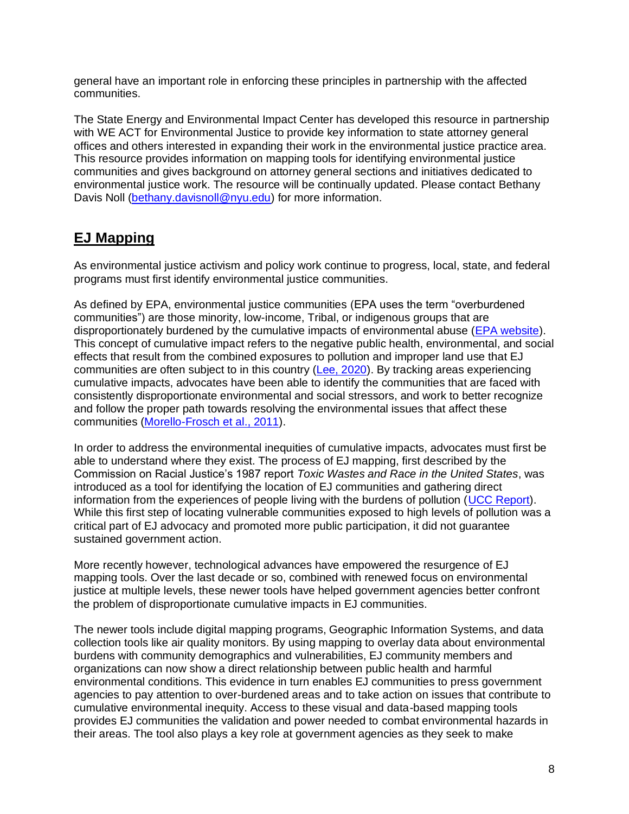general have an important role in enforcing these principles in partnership with the affected communities.

The State Energy and Environmental Impact Center has developed this resource in partnership with WE ACT for Environmental Justice to provide key information to state attorney general offices and others interested in expanding their work in the environmental justice practice area. This resource provides information on mapping tools for identifying environmental justice communities and gives background on attorney general sections and initiatives dedicated to environmental justice work. The resource will be continually updated. Please contact Bethany Davis Noll [\(bethany.davisnoll@nyu.edu\)](mailto:bethany.davisnoll@nyu.edu) for more information.

# <span id="page-7-0"></span>**EJ Mapping**

As environmental justice activism and policy work continue to progress, local, state, and federal programs must first identify environmental justice communities.

As defined by EPA, environmental justice communities (EPA uses the term "overburdened communities") are those minority, low-income, Tribal, or indigenous groups that are disproportionately burdened by the cumulative impacts of environmental abuse [\(EPA website\)](https://www.epa.gov/environmentaljustice/ej-2020-glossary). This concept of cumulative impact refers to the negative public health, environmental, and social effects that result from the combined exposures to pollution and improper land use that EJ communities are often subject to in this country [\(Lee, 2020\)](https://www.elr.info/sites/default/files/article/2021/07/51.10676.pdf). By tracking areas experiencing cumulative impacts, advocates have been able to identify the communities that are faced with consistently disproportionate environmental and social stressors, and work to better recognize and follow the proper path towards resolving the environmental issues that affect these communities [\(Morello-Frosch et al., 2011\)](https://www.healthaffairs.org/doi/10.1377/hlthaff.2011.0153).

In order to address the environmental inequities of cumulative impacts, advocates must first be able to understand where they exist. The process of EJ mapping, first described by the Commission on Racial Justice's 1987 report *Toxic Wastes and Race in the United States*, was introduced as a tool for identifying the location of EJ communities and gathering direct information from the experiences of people living with the burdens of pollution [\(UCC Report\)](https://www.nrc.gov/docs/ML1310/ML13109A339.pdf). While this first step of locating vulnerable communities exposed to high levels of pollution was a critical part of EJ advocacy and promoted more public participation, it did not guarantee sustained government action.

More recently however, technological advances have empowered the resurgence of EJ mapping tools. Over the last decade or so, combined with renewed focus on environmental justice at multiple levels, these newer tools have helped government agencies better confront the problem of disproportionate cumulative impacts in EJ communities.

The newer tools include digital mapping programs, Geographic Information Systems, and data collection tools like air quality monitors. By using mapping to overlay data about environmental burdens with community demographics and vulnerabilities, EJ community members and organizations can now show a direct relationship between public health and harmful environmental conditions. This evidence in turn enables EJ communities to press government agencies to pay attention to over-burdened areas and to take action on issues that contribute to cumulative environmental inequity. Access to these visual and data-based mapping tools provides EJ communities the validation and power needed to combat environmental hazards in their areas. The tool also plays a key role at government agencies as they seek to make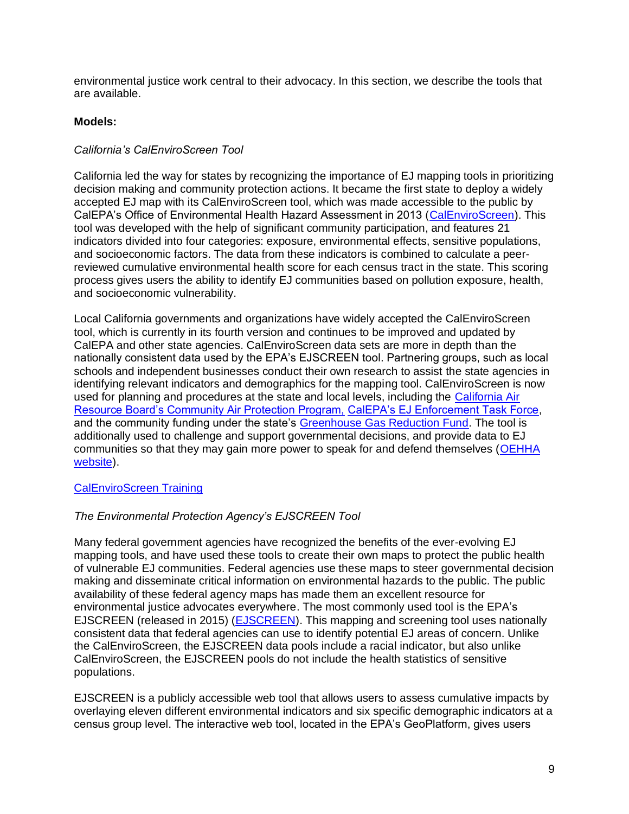environmental justice work central to their advocacy. In this section, we describe the tools that are available.

#### <span id="page-8-0"></span>**Models:**

### <span id="page-8-1"></span>*California's CalEnviroScreen Tool*

California led the way for states by recognizing the importance of EJ mapping tools in prioritizing decision making and community protection actions. It became the first state to deploy a widely accepted EJ map with its CalEnviroScreen tool, which was made accessible to the public by CalEPA's Office of Environmental Health Hazard Assessment in 2013 [\(CalEnviroScreen\)](https://oehha.ca.gov/calenviroscreen/report/calenviroscreen-30). This tool was developed with the help of significant community participation, and features 21 indicators divided into four categories: exposure, environmental effects, sensitive populations, and socioeconomic factors. The data from these indicators is combined to calculate a peerreviewed cumulative environmental health score for each census tract in the state. This scoring process gives users the ability to identify EJ communities based on pollution exposure, health, and socioeconomic vulnerability.

Local California governments and organizations have widely accepted the CalEnviroScreen tool, which is currently in its fourth version and continues to be improved and updated by CalEPA and other state agencies. CalEnviroScreen data sets are more in depth than the nationally consistent data used by the EPA's EJSCREEN tool. Partnering groups, such as local schools and independent businesses conduct their own research to assist the state agencies in identifying relevant indicators and demographics for the mapping tool. CalEnviroScreen is now used for planning and procedures at the state and local levels, including the [California Air](https://ww2.arb.ca.gov/capp)  [Resource Board's Community Air Protection Program,](https://ww2.arb.ca.gov/capp) [CalEPA's EJ Enforcement Task Force,](https://calepa.ca.gov/enforcement/environmental-justice-compliance-and-enforcement-task-force/) and the community funding under the state's [Greenhouse Gas Reduction Fund.](https://ww2.arb.ca.gov/our-work/programs/california-climate-investments/california-climate-investments-funded-programs) The tool is additionally used to challenge and support governmental decisions, and provide data to EJ communities so that they may gain more power to speak for and defend themselves [\(OEHHA](https://oehha.ca.gov/calenviroscreen/training-videos)  [website\)](https://oehha.ca.gov/calenviroscreen/training-videos).

#### [CalEnviroScreen Training](https://oehha.ca.gov/calenviroscreen/how-use)

#### <span id="page-8-2"></span>*The Environmental Protection Agency's EJSCREEN Tool*

Many federal government agencies have recognized the benefits of the ever-evolving EJ mapping tools, and have used these tools to create their own maps to protect the public health of vulnerable EJ communities. Federal agencies use these maps to steer governmental decision making and disseminate critical information on environmental hazards to the public. The public availability of these federal agency maps has made them an excellent resource for environmental justice advocates everywhere. The most commonly used tool is the EPA's EJSCREEN (released in 2015) [\(EJSCREEN\)](https://www.epa.gov/ejscreen). This mapping and screening tool uses nationally consistent data that federal agencies can use to identify potential EJ areas of concern. Unlike the CalEnviroScreen, the EJSCREEN data pools include a racial indicator, but also unlike CalEnviroScreen, the EJSCREEN pools do not include the health statistics of sensitive populations.

EJSCREEN is a publicly accessible web tool that allows users to assess cumulative impacts by overlaying eleven different environmental indicators and six specific demographic indicators at a census group level. The interactive web tool, located in the EPA's GeoPlatform, gives users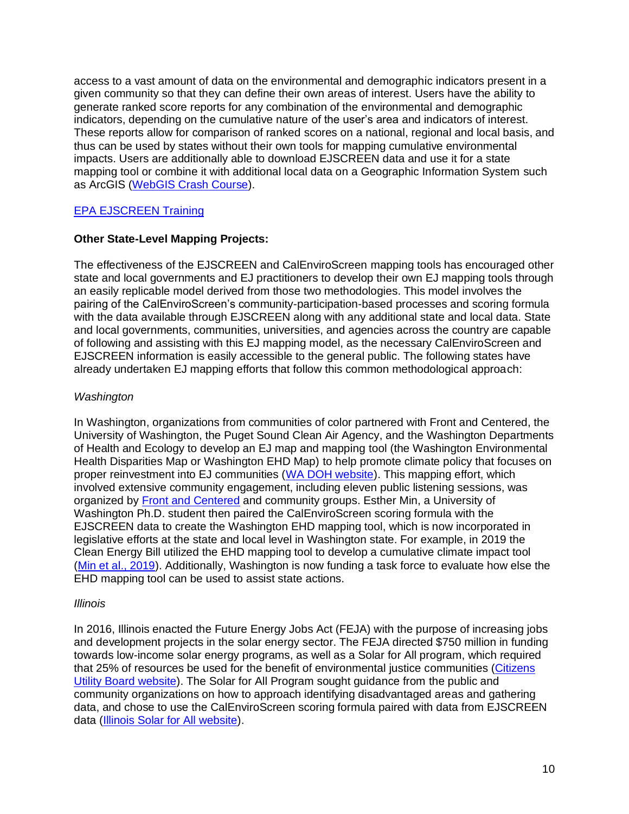access to a vast amount of data on the environmental and demographic indicators present in a given community so that they can define their own areas of interest. Users have the ability to generate ranked score reports for any combination of the environmental and demographic indicators, depending on the cumulative nature of the user's area and indicators of interest. These reports allow for comparison of ranked scores on a national, regional and local basis, and thus can be used by states without their own tools for mapping cumulative environmental impacts. Users are additionally able to download EJSCREEN data and use it for a state mapping tool or combine it with additional local data on a Geographic Information System such as ArcGIS [\(WebGIS Crash Course\)](https://www.esri.com/videos/watch?videoid=ilA62RAZQnk).

### [EPA EJSCREEN Training](https://www.epa.gov/ejscreen/learn-use-ejscreen)

#### <span id="page-9-0"></span>**Other State-Level Mapping Projects:**

The effectiveness of the EJSCREEN and CalEnviroScreen mapping tools has encouraged other state and local governments and EJ practitioners to develop their own EJ mapping tools through an easily replicable model derived from those two methodologies. This model involves the pairing of the CalEnviroScreen's community-participation-based processes and scoring formula with the data available through EJSCREEN along with any additional state and local data. State and local governments, communities, universities, and agencies across the country are capable of following and assisting with this EJ mapping model, as the necessary CalEnviroScreen and EJSCREEN information is easily accessible to the general public. The following states have already undertaken EJ mapping efforts that follow this common methodological approach:

#### <span id="page-9-1"></span>*Washington*

In Washington, organizations from communities of color partnered with Front and Centered, the University of Washington, the Puget Sound Clean Air Agency, and the Washington Departments of Health and Ecology to develop an EJ map and mapping tool (the Washington Environmental Health Disparities Map or Washington EHD Map) to help promote climate policy that focuses on proper reinvestment into EJ communities [\(WA DOH website\)](https://www.doh.wa.gov/DataandStatisticalReports/WashingtonTrackingNetworkWTN/InformationbyLocation/WashingtonEnvironmentalHealthDisparitiesMap). This mapping effort, which involved extensive community engagement, including eleven public listening sessions, was organized by [Front and Centered](https://frontandcentered.org/) and community groups. Esther Min, a University of Washington Ph.D. student then paired the CalEnviroScreen scoring formula with the EJSCREEN data to create the Washington EHD mapping tool, which is now incorporated in legislative efforts at the state and local level in Washington state. For example, in 2019 the Clean Energy Bill utilized the EHD mapping tool to develop a cumulative climate impact tool [\(Min et al., 2019\)](https://www.ncbi.nlm.nih.gov/pmc/articles/PMC6888266/). Additionally, Washington is now funding a task force to evaluate how else the EHD mapping tool can be used to assist state actions.

#### <span id="page-9-2"></span>*Illinois*

In 2016, Illinois enacted the Future Energy Jobs Act (FEJA) with the purpose of increasing jobs and development projects in the solar energy sector. The FEJA directed \$750 million in funding towards low-income solar energy programs, as well as a Solar for All program, which required that 25% of resources be used for the benefit of environmental justice communities [\(Citizens](https://www.citizensutilityboard.org/future-energy-jobs-act/)  [Utility Board website\)](https://www.citizensutilityboard.org/future-energy-jobs-act/). The Solar for All Program sought guidance from the public and community organizations on how to approach identifying disadvantaged areas and gathering data, and chose to use the CalEnviroScreen scoring formula paired with data from EJSCREEN data [\(Illinois Solar for All website\)](https://www.illinoissfa.com/environmental-justice-communities/).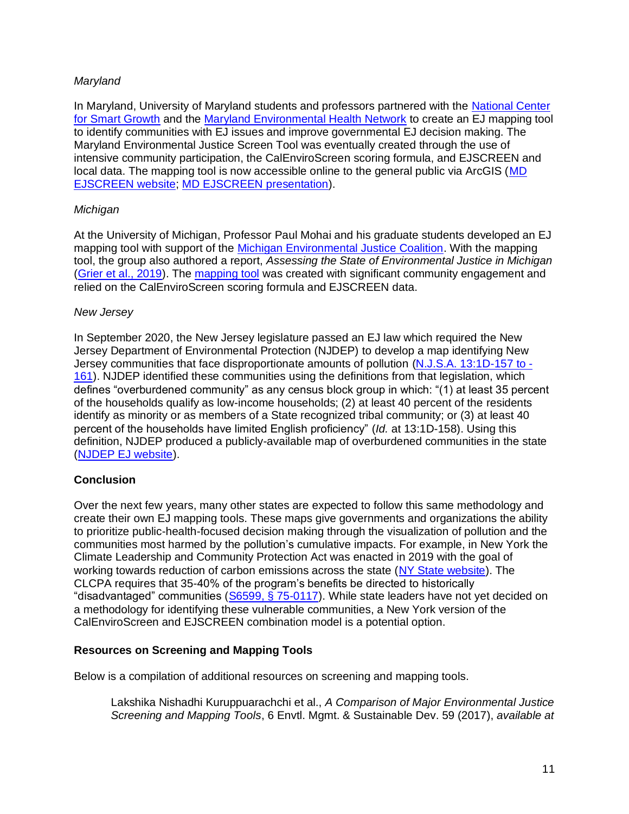#### <span id="page-10-0"></span>*Maryland*

In Maryland, University of Maryland students and professors partnered with the [National Center](https://www.umdsmartgrowth.org/)  [for Smart Growth](https://www.umdsmartgrowth.org/) and the [Maryland Environmental Health Network](https://mdehn.org/) to create an EJ mapping tool to identify communities with EJ issues and improve governmental EJ decision making. The Maryland Environmental Justice Screen Tool was eventually created through the use of intensive community participation, the CalEnviroScreen scoring formula, and EJSCREEN and local data. The mapping tool is now accessible online to the general public via ArcGIS [\(MD](https://p1.cgis.umd.edu/mdejscreen/)  [EJSCREEN website;](https://p1.cgis.umd.edu/mdejscreen/) [MD EJSCREEN presentation\)](https://mde.maryland.gov/programs/Crossmedia/EnvironmentalJustice/Documents/mdejscreen-cejsc-2-25-2021v1.pdf).

#### <span id="page-10-1"></span>*Michigan*

At the University of Michigan, Professor Paul Mohai and his graduate students developed an EJ mapping tool with support of the [Michigan Environmental Justice Coalition.](https://www.michiganej.org/) With the mapping tool, the group also authored a report, *Assessing the State of Environmental Justice in Michigan* [\(Grier et al., 2019\)](https://deepblue.lib.umich.edu/bitstream/handle/2027.42/149105/AssessingtheStateofEnvironmentalJusticeinMichigan_344.pdf?sequence=1). The [mapping tool](https://www.arcgis.com/apps/webappviewer/index.html?id=dc4f0647dda34959963488d3f519fd24) was created with significant community engagement and relied on the CalEnviroScreen scoring formula and EJSCREEN data.

#### <span id="page-10-2"></span>*New Jersey*

In September 2020, the New Jersey legislature passed an EJ law which required the New Jersey Department of Environmental Protection (NJDEP) to develop a map identifying New Jersey communities that face disproportionate amounts of pollution [\(N.J.S.A. 13:1D-157 to -](https://www.nj.gov/dep/ej/docs/ej-law.pdf) [161\)](https://www.nj.gov/dep/ej/docs/ej-law.pdf). NJDEP identified these communities using the definitions from that legislation, which defines "overburdened community" as any census block group in which: "(1) at least 35 percent of the households qualify as low-income households; (2) at least 40 percent of the residents identify as minority or as members of a State recognized tribal community; or (3) at least 40 percent of the households have limited English proficiency" (*Id.* at 13:1D-158). Using this definition, NJDEP produced a publicly-available map of overburdened communities in the state [\(NJDEP EJ website\)](https://www.nj.gov/dep/ej/communities.html).

#### <span id="page-10-3"></span>**Conclusion**

Over the next few years, many other states are expected to follow this same methodology and create their own EJ mapping tools. These maps give governments and organizations the ability to prioritize public-health-focused decision making through the visualization of pollution and the communities most harmed by the pollution's cumulative impacts. For example, in New York the Climate Leadership and Community Protection Act was enacted in 2019 with the goal of working towards reduction of carbon emissions across the state [\(NY State website\)](https://climate.ny.gov/). The CLCPA requires that 35-40% of the program's benefits be directed to historically "disadvantaged" communities [\(S6599, § 75-0117\)](https://www.nysenate.gov/legislation/bills/2019/s6599). While state leaders have not yet decided on a methodology for identifying these vulnerable communities, a New York version of the CalEnviroScreen and EJSCREEN combination model is a potential option.

#### <span id="page-10-4"></span>**Resources on Screening and Mapping Tools**

Below is a compilation of additional resources on screening and mapping tools.

Lakshika Nishadhi Kuruppuarachchi et al., *A Comparison of Major Environmental Justice Screening and Mapping Tools*, 6 Envtl. Mgmt. & Sustainable Dev. 59 (2017), *available at*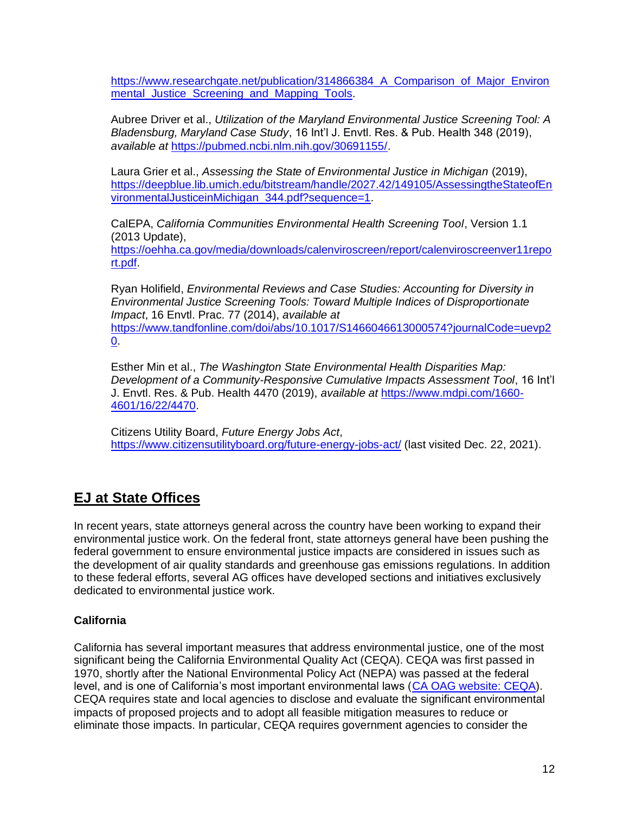https://www.researchgate.net/publication/314866384 A Comparison of Major Environ mental Justice Screening and Mapping Tools.

Aubree Driver et al., *Utilization of the Maryland Environmental Justice Screening Tool: A Bladensburg, Maryland Case Study*, 16 Int'l J. Envtl. Res. & Pub. Health 348 (2019), *available at* [https://pubmed.ncbi.nlm.nih.gov/30691155/.](https://pubmed.ncbi.nlm.nih.gov/30691155/)

Laura Grier et al., *Assessing the State of Environmental Justice in Michigan* (2019), [https://deepblue.lib.umich.edu/bitstream/handle/2027.42/149105/AssessingtheStateofEn](https://deepblue.lib.umich.edu/bitstream/handle/2027.42/149105/AssessingtheStateofEnvironmentalJusticeinMichigan_344.pdf?sequence=1) [vironmentalJusticeinMichigan\\_344.pdf?sequence=1.](https://deepblue.lib.umich.edu/bitstream/handle/2027.42/149105/AssessingtheStateofEnvironmentalJusticeinMichigan_344.pdf?sequence=1)

CalEPA, *California Communities Environmental Health Screening Tool*, Version 1.1 (2013 Update),

[https://oehha.ca.gov/media/downloads/calenviroscreen/report/calenviroscreenver11repo](https://oehha.ca.gov/media/downloads/calenviroscreen/report/calenviroscreenver11report.pdf) [rt.pdf.](https://oehha.ca.gov/media/downloads/calenviroscreen/report/calenviroscreenver11report.pdf)

Ryan Holifield, *Environmental Reviews and Case Studies: Accounting for Diversity in Environmental Justice Screening Tools: Toward Multiple Indices of Disproportionate Impact*, 16 Envtl. Prac. 77 (2014), *available at*  [https://www.tandfonline.com/doi/abs/10.1017/S1466046613000574?journalCode=uevp2](https://www.tandfonline.com/doi/abs/10.1017/S1466046613000574?journalCode=uevp20) [0.](https://www.tandfonline.com/doi/abs/10.1017/S1466046613000574?journalCode=uevp20)

Esther Min et al., *The Washington State Environmental Health Disparities Map: Development of a Community-Responsive Cumulative Impacts Assessment Tool*, 16 Int'l J. Envtl. Res. & Pub. Health 4470 (2019), *available at* [https://www.mdpi.com/1660-](https://www.mdpi.com/1660-4601/16/22/4470) [4601/16/22/4470.](https://www.mdpi.com/1660-4601/16/22/4470)

Citizens Utility Board, *Future Energy Jobs Act*, <https://www.citizensutilityboard.org/future-energy-jobs-act/> (last visited Dec. 22, 2021).

# <span id="page-11-0"></span>**EJ at State Offices**

In recent years, state attorneys general across the country have been working to expand their environmental justice work. On the federal front, state attorneys general have been pushing the federal government to ensure environmental justice impacts are considered in issues such as the development of air quality standards and greenhouse gas emissions regulations. In addition to these federal efforts, several AG offices have developed sections and initiatives exclusively dedicated to environmental justice work.

## <span id="page-11-1"></span>**California**

California has several important measures that address environmental justice, one of the most significant being the California Environmental Quality Act (CEQA). CEQA was first passed in 1970, shortly after the National Environmental Policy Act (NEPA) was passed at the federal level, and is one of California's most important environmental laws [\(CA OAG website: CEQA\)](https://oag.ca.gov/environment/ceqa). CEQA requires state and local agencies to disclose and evaluate the significant environmental impacts of proposed projects and to adopt all feasible mitigation measures to reduce or eliminate those impacts. In particular, CEQA requires government agencies to consider the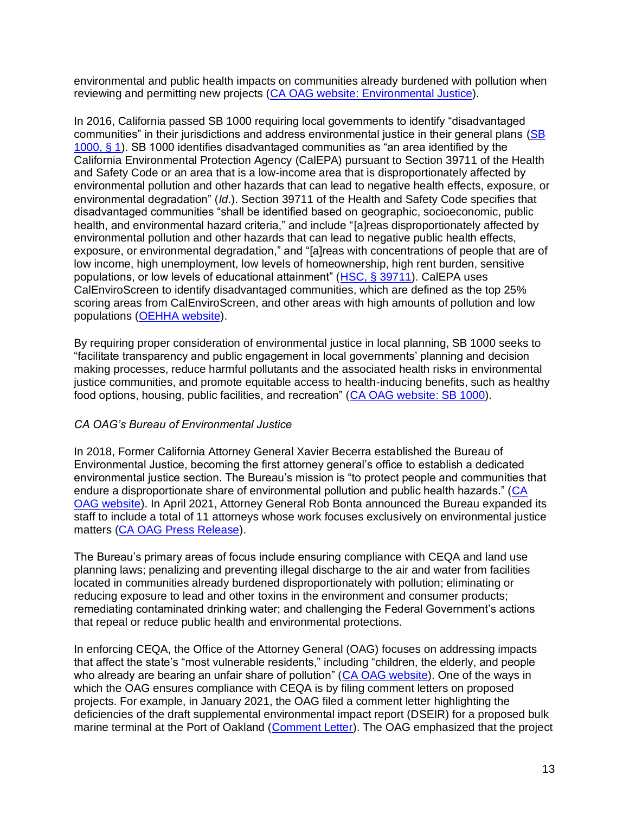environmental and public health impacts on communities already burdened with pollution when reviewing and permitting new projects [\(CA OAG website: Environmental Justice\)](https://oag.ca.gov/environment/justice).

In 2016, California passed SB 1000 requiring local governments to identify "disadvantaged communities" in their jurisdictions and address environmental justice in their general plans [\(SB](https://leginfo.legislature.ca.gov/faces/billNavClient.xhtml?bill_id=201520160SB1000)  [1000, § 1\)](https://leginfo.legislature.ca.gov/faces/billNavClient.xhtml?bill_id=201520160SB1000). SB 1000 identifies disadvantaged communities as "an area identified by the California Environmental Protection Agency (CalEPA) pursuant to Section 39711 of the Health and Safety Code or an area that is a low-income area that is disproportionately affected by environmental pollution and other hazards that can lead to negative health effects, exposure, or environmental degradation" (*Id*.). Section 39711 of the Health and Safety Code specifies that disadvantaged communities "shall be identified based on geographic, socioeconomic, public health, and environmental hazard criteria," and include "[a]reas disproportionately affected by environmental pollution and other hazards that can lead to negative public health effects, exposure, or environmental degradation," and "[a]reas with concentrations of people that are of low income, high unemployment, low levels of homeownership, high rent burden, sensitive populations, or low levels of educational attainment" [\(HSC, §](https://leginfo.legislature.ca.gov/faces/codes_displayText.xhtml?lawCode=HSC&division=26.&title=&part=2.&chapter=4.1.&article=) 39711). CalEPA uses CalEnviroScreen to identify disadvantaged communities, which are defined as the top 25% scoring areas from CalEnviroScreen, and other areas with high amounts of pollution and low populations [\(OEHHA website\)](https://oehha.ca.gov/calenviroscreen/sb535).

By requiring proper consideration of environmental justice in local planning, SB 1000 seeks to "facilitate transparency and public engagement in local governments' planning and decision making processes, reduce harmful pollutants and the associated health risks in environmental justice communities, and promote equitable access to health-inducing benefits, such as healthy food options, housing, public facilities, and recreation" [\(CA OAG website: SB 1000\)](https://oag.ca.gov/environment/sb1000).

#### <span id="page-12-0"></span>*CA OAG's Bureau of Environmental Justice*

In 2018, Former California Attorney General Xavier Becerra established the Bureau of Environmental Justice, becoming the first attorney general's office to establish a dedicated environmental justice section. The Bureau's mission is "to protect people and communities that endure a disproportionate share of environmental pollution and public health hazards." [\(CA](https://oag.ca.gov/environment/justice)  [OAG website\)](https://oag.ca.gov/environment/justice). In April 2021, Attorney General Rob Bonta announced the Bureau expanded its staff to include a total of 11 attorneys whose work focuses exclusively on environmental justice matters [\(CA OAG Press Release\)](https://oag.ca.gov/news/press-releases/attorney-general-bonta-announces-expansion-bureau-environmental-justice).

The Bureau's primary areas of focus include ensuring compliance with CEQA and land use planning laws; penalizing and preventing illegal discharge to the air and water from facilities located in communities already burdened disproportionately with pollution; eliminating or reducing exposure to lead and other toxins in the environment and consumer products; remediating contaminated drinking water; and challenging the Federal Government's actions that repeal or reduce public health and environmental protections.

In enforcing CEQA, the Office of the Attorney General (OAG) focuses on addressing impacts that affect the state's "most vulnerable residents," including "children, the elderly, and people who already are bearing an unfair share of pollution" [\(CA OAG website\)](https://oag.ca.gov/environment/ceqa). One of the ways in which the OAG ensures compliance with CEQA is by filing comment letters on proposed projects. For example, in January 2021, the OAG filed a comment letter highlighting the deficiencies of the draft supplemental environmental impact report (DSEIR) for a proposed bulk marine terminal at the Port of Oakland [\(Comment Letter\)](https://oag.ca.gov/sites/all/files/agweb/pdfs/environment/comment-eagle-rock-dseir-011521.pdf). The OAG emphasized that the project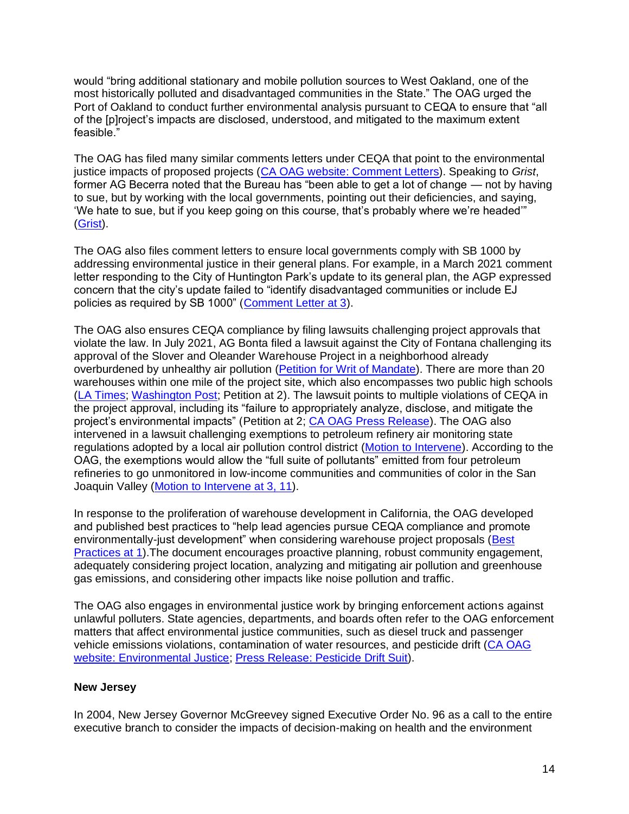would "bring additional stationary and mobile pollution sources to West Oakland, one of the most historically polluted and disadvantaged communities in the State." The OAG urged the Port of Oakland to conduct further environmental analysis pursuant to CEQA to ensure that "all of the [p]roject's impacts are disclosed, understood, and mitigated to the maximum extent feasible."

The OAG has filed many similar comments letters under CEQA that point to the environmental justice impacts of proposed projects [\(CA OAG website:](https://oag.ca.gov/environment/ceqa/letters) Comment Letters). Speaking to *Grist*, former AG Becerra noted that the Bureau has "been able to get a lot of change — not by having to sue, but by working with the local governments, pointing out their deficiencies, and saying, 'We hate to sue, but if you keep going on this course, that's probably where we're headed'" [\(Grist\)](https://grist.org/justice/this-tiny-but-mighty-california-bureau-is-taking-on-polluters/).

The OAG also files comment letters to ensure local governments comply with SB 1000 by addressing environmental justice in their general plans. For example, in a March 2021 comment letter responding to the City of Huntington Park's update to its general plan, the AGP expressed concern that the city's update failed to "identify disadvantaged communities or include EJ policies as required by SB 1000" [\(Comment Letter](https://oag.ca.gov/sites/all/files/agweb/pdfs/environment/sb1000-letter-huntington.pdf) at 3).

The OAG also ensures CEQA compliance by filing lawsuits challenging project approvals that violate the law. In July 2021, AG Bonta filed a lawsuit against the City of Fontana challenging its approval of the Slover and Oleander Warehouse Project in a neighborhood already overburdened by unhealthy air pollution [\(Petition for Writ of Mandate\)](https://oag.ca.gov/system/files/attachments/press-docs/Final%20Slover%20and%20Oleander%20CEQA%20Petition%20%28signed%29.pdf). There are more than 20 warehouses within one mile of the project site, which also encompasses two public high schools [\(LA Times;](https://www.latimes.com/politics/story/2021-11-18/california-confronts-environmental-injustice-washington-looks-its-way-for-inspiration) [Washington Post;](https://www.washingtonpost.com/podcasts/post-reports/the-environmental-cost-of-online-shopping/) Petition at 2). The lawsuit points to multiple violations of CEQA in the project approval, including its "failure to appropriately analyze, disclose, and mitigate the project's environmental impacts" (Petition at 2; [CA OAG Press Release\)](https://oag.ca.gov/news/press-releases/attorney-general-bonta-challenges-approval-warehouse-project-south-fontana). The OAG also intervened in a lawsuit challenging exemptions to petroleum refinery air monitoring state regulations adopted by a local air pollution control district [\(Motion to Intervene\)](https://oag.ca.gov/sites/default/files/FILED%20People%27s%20Petition%20for%20Writ%20of%20Mandate%20in%20Intervention.pdf.pdf). According to the OAG, the exemptions would allow the "full suite of pollutants" emitted from four petroleum refineries to go unmonitored in low-income communities and communities of color in the San Joaquin Valley [\(Motion to Intervene](https://oag.ca.gov/sites/default/files/FILED%20People%27s%20Petition%20for%20Writ%20of%20Mandate%20in%20Intervention.pdf.pdf) at 3, 11).

In response to the proliferation of warehouse development in California, the OAG developed and published best practices to "help lead agencies pursue CEQA compliance and promote environmentally-just development" when considering warehouse project proposals [\(Best](https://oag.ca.gov/sites/all/files/agweb/pdfs/environment/warehouse-best-practices.pdf)  [Practices at 1\)](https://oag.ca.gov/sites/all/files/agweb/pdfs/environment/warehouse-best-practices.pdf).The document encourages proactive planning, robust community engagement, adequately considering project location, analyzing and mitigating air pollution and greenhouse gas emissions, and considering other impacts like noise pollution and traffic.

The OAG also engages in environmental justice work by bringing enforcement actions against unlawful polluters. State agencies, departments, and boards often refer to the OAG enforcement matters that affect environmental justice communities, such as diesel truck and passenger vehicle emissions violations, contamination of water resources, and pesticide drift [\(CA OAG](https://oag.ca.gov/environment/justice)  [website: Environmental Justice;](https://oag.ca.gov/environment/justice) [Press Release:](https://oag.ca.gov/news/press-releases/attorney-general-becerra-and-california-department-pesticide-regulation-file) Pesticide Drift Suit).

#### <span id="page-13-0"></span>**New Jersey**

In 2004, New Jersey Governor McGreevey signed Executive Order No. 96 as a call to the entire executive branch to consider the impacts of decision-making on health and the environment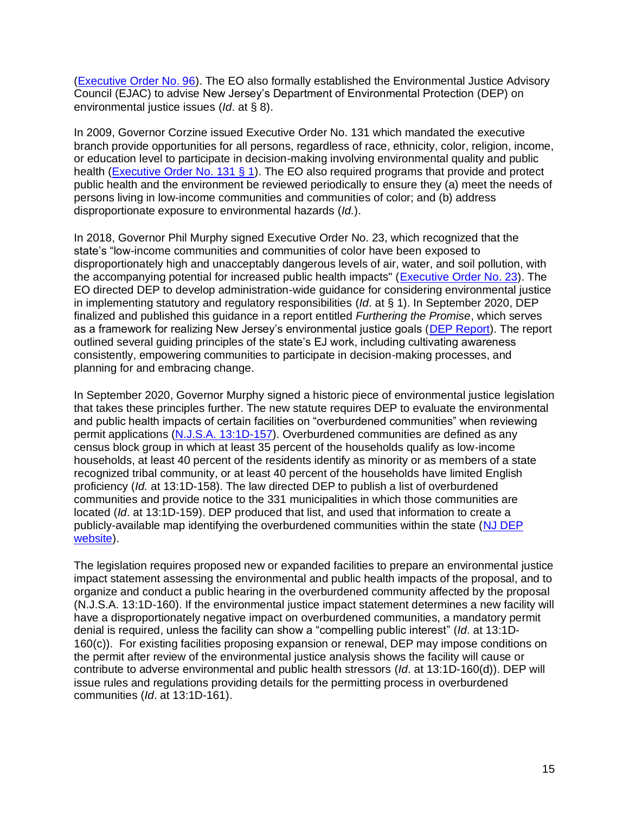[\(Executive Order No. 96\)](https://nj.gov/infobank/circular/eom96.htm). The EO also formally established the Environmental Justice Advisory Council (EJAC) to advise New Jersey's Department of Environmental Protection (DEP) on environmental justice issues (*Id*. at § 8).

In 2009, Governor Corzine issued Executive Order No. 131 which mandated the executive branch provide opportunities for all persons, regardless of race, ethnicity, color, religion, income, or education level to participate in decision-making involving environmental quality and public health [\(Executive Order No. 131](https://nj.gov/infobank/circular/eojsc131.htm) § 1). The EO also required programs that provide and protect public health and the environment be reviewed periodically to ensure they (a) meet the needs of persons living in low-income communities and communities of color; and (b) address disproportionate exposure to environmental hazards (*Id.*).

In 2018, Governor Phil Murphy signed Executive Order No. 23, which recognized that the state's "low-income communities and communities of color have been exposed to disproportionately high and unacceptably dangerous levels of air, water, and soil pollution, with the accompanying potential for increased public health impacts'' [\(Executive Order No. 23\)](https://nj.gov/infobank/eo/056murphy/pdf/EO-23.pdf). The EO directed DEP to develop administration-wide guidance for considering environmental justice in implementing statutory and regulatory responsibilities (*Id*. at § 1). In September 2020, DEP finalized and published this guidance in a report entitled *Furthering the Promise*, which serves as a framework for realizing New Jersey's environmental justice goals [\(DEP Report\)](https://www.nj.gov/dep/ej/docs/furthering-the-promise.pdf). The report outlined several guiding principles of the state's EJ work, including cultivating awareness consistently, empowering communities to participate in decision-making processes, and planning for and embracing change.

In September 2020, Governor Murphy signed a historic piece of environmental justice legislation that takes these principles further. The new statute requires DEP to evaluate the environmental and public health impacts of certain facilities on "overburdened communities" when reviewing permit applications [\(N.J.S.A. 13:1D-157\)](https://www.nj.gov/dep/ej/docs/ej-law.pdf). Overburdened communities are defined as any census block group in which at least 35 percent of the households qualify as low-income households, at least 40 percent of the residents identify as minority or as members of a state recognized tribal community, or at least 40 percent of the households have limited English proficiency (*Id.* at 13:1D-158). The law directed DEP to publish a list of overburdened communities and provide notice to the 331 municipalities in which those communities are located (*Id*. at 13:1D-159). DEP produced that list, and used that information to create a publicly-available map identifying the overburdened communities within the state [\(NJ DEP](https://www.nj.gov/dep/ej/communities.html)  [website\)](https://www.nj.gov/dep/ej/communities.html).

The legislation requires proposed new or expanded facilities to prepare an environmental justice impact statement assessing the environmental and public health impacts of the proposal, and to organize and conduct a public hearing in the overburdened community affected by the proposal (N.J.S.A. 13:1D-160). If the environmental justice impact statement determines a new facility will have a disproportionately negative impact on overburdened communities, a mandatory permit denial is required, unless the facility can show a "compelling public interest" (*Id*. at 13:1D-160(c)). For existing facilities proposing expansion or renewal, DEP may impose conditions on the permit after review of the environmental justice analysis shows the facility will cause or contribute to adverse environmental and public health stressors (*Id*. at 13:1D-160(d)). DEP will issue rules and regulations providing details for the permitting process in overburdened communities (*Id*. at 13:1D-161).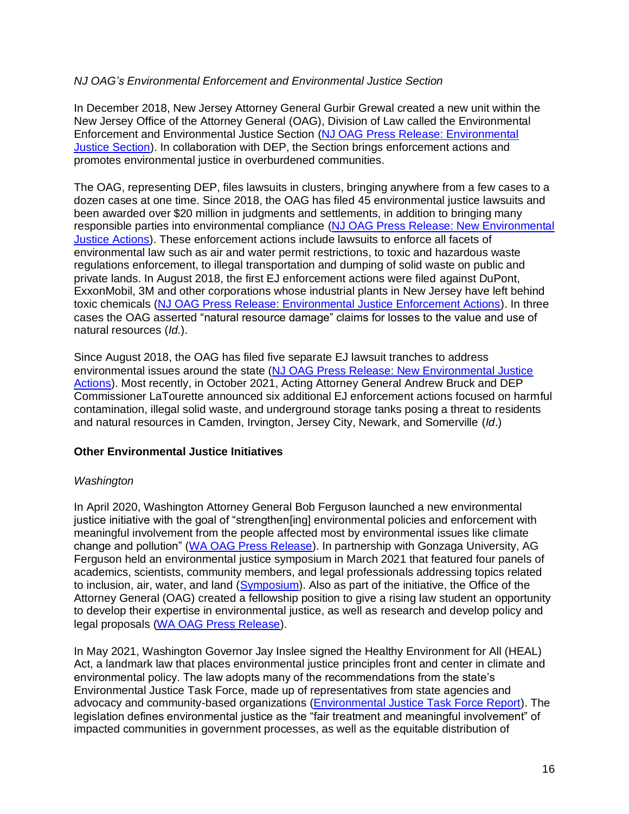#### <span id="page-15-0"></span>*NJ OAG's Environmental Enforcement and Environmental Justice Section*

In December 2018, New Jersey Attorney General Gurbir Grewal created a new unit within the New Jersey Office of the Attorney General (OAG), Division of Law called the Environmental Enforcement and Environmental Justice Section [\(NJ OAG Press Release: Environmental](https://www.nj.gov/oag/newsreleases18/pr20181206a.html)  [Justice Section\)](https://www.nj.gov/oag/newsreleases18/pr20181206a.html). In collaboration with DEP, the Section brings enforcement actions and promotes environmental justice in overburdened communities.

The OAG, representing DEP, files lawsuits in clusters, bringing anywhere from a few cases to a dozen cases at one time. Since 2018, the OAG has filed 45 environmental justice lawsuits and been awarded over \$20 million in judgments and settlements, in addition to bringing many responsible parties into environmental compliance [\(NJ OAG Press Release: New Environmental](https://www.njoag.gov/acting-ag-bruck-dep-commissioner-latourette-announce-seven-new-environmental-enforcement-actions-six-environmental-justice-communities/)  [Justice Actions\)](https://www.njoag.gov/acting-ag-bruck-dep-commissioner-latourette-announce-seven-new-environmental-enforcement-actions-six-environmental-justice-communities/). These enforcement actions include lawsuits to enforce all facets of environmental law such as air and water permit restrictions, to toxic and hazardous waste regulations enforcement, to illegal transportation and dumping of solid waste on public and private lands. In August 2018, the first EJ enforcement actions were filed against DuPont, ExxonMobil, 3M and other corporations whose industrial plants in New Jersey have left behind toxic chemicals [\(NJ OAG Press Release: Environmental Justice Enforcement Actions\)](https://nj.gov/oag/newsreleases18/pr20180801a.html). In three cases the OAG asserted "natural resource damage" claims for losses to the value and use of natural resources (*Id.*).

Since August 2018, the OAG has filed five separate EJ lawsuit tranches to address environmental issues around the state [\(NJ OAG Press Release: New Environmental Justice](https://www.njoag.gov/acting-ag-bruck-dep-commissioner-latourette-announce-seven-new-environmental-enforcement-actions-six-environmental-justice-communities/)  [Actions\)](https://www.njoag.gov/acting-ag-bruck-dep-commissioner-latourette-announce-seven-new-environmental-enforcement-actions-six-environmental-justice-communities/). Most recently, in October 2021, Acting Attorney General Andrew Bruck and DEP Commissioner LaTourette announced six additional EJ enforcement actions focused on harmful contamination, illegal solid waste, and underground storage tanks posing a threat to residents and natural resources in Camden, Irvington, Jersey City, Newark, and Somerville (*Id*.)

#### <span id="page-15-1"></span>**Other Environmental Justice Initiatives**

#### <span id="page-15-2"></span>*Washington*

In April 2020, Washington Attorney General Bob Ferguson launched a new environmental justice initiative with the goal of "strengthen[ing] environmental policies and enforcement with meaningful involvement from the people affected most by environmental issues like climate change and pollution" [\(WA OAG Press Release\)](https://www.atg.wa.gov/news/news-releases/ag-ferguson-rolls-out-environmental-justice-initiative-honor-earth-day). In partnership with Gonzaga University, AG Ferguson held an environmental justice symposium in March 2021 that featured four panels of academics, scientists, community members, and legal professionals addressing topics related to inclusion, air, water, and land [\(Symposium\)](https://www.gonzaga.edu/news-events/events/2021/3/23/environmental-justice-symposium). Also as part of the initiative, the Office of the Attorney General (OAG) created a fellowship position to give a rising law student an opportunity to develop their expertise in environmental justice, as well as research and develop policy and legal proposals [\(WA OAG Press Release\)](https://www.atg.wa.gov/news/news-releases/ag-ferguson-rolls-out-environmental-justice-initiative-honor-earth-day).

In May 2021, Washington Governor Jay Inslee signed the Healthy Environment for All (HEAL) Act, a landmark law that places environmental justice principles front and center in climate and environmental policy. The law adopts many of the recommendations from the state's Environmental Justice Task Force, made up of representatives from state agencies and advocacy and community-based organizations [\(Environmental Justice Task Force Report\)](https://healthequity.wa.gov/Portals/9/Doc/Publications/Reports/EJTF%20Report_FINAL(1).pdf). The legislation defines environmental justice as the "fair treatment and meaningful involvement" of impacted communities in government processes, as well as the equitable distribution of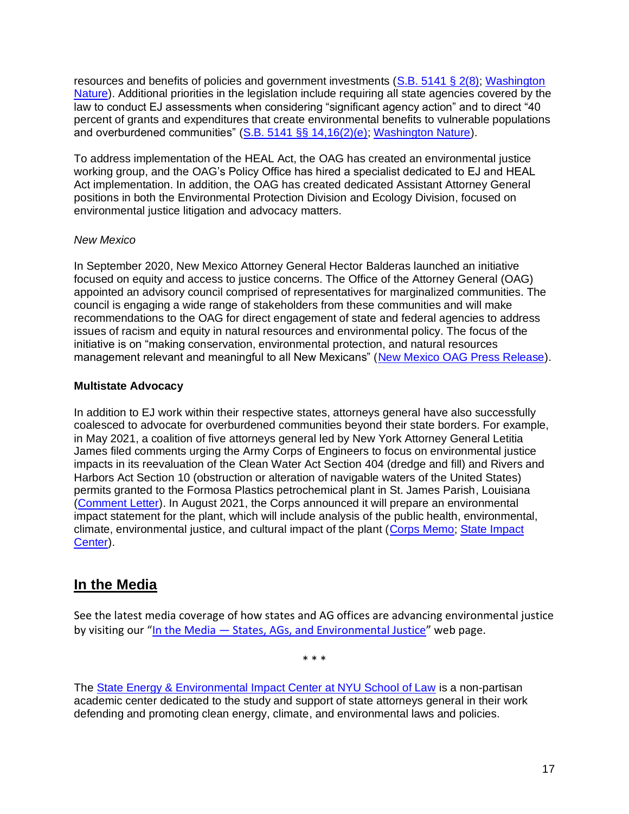resources and benefits of policies and government investments [\(S.B. 5141](https://lawfilesext.leg.wa.gov/biennium/2021-22/Pdf/Bills/Session%20Laws/Senate/5141-S2.SL.pdf#page=1) § 2(8); [Washington](https://www.washingtonnature.org/fieldnotes/2021/5/03/heal-act-is-a-major-victory-legislature-environmental-justice-front-and-centered)  [Nature\)](https://www.washingtonnature.org/fieldnotes/2021/5/03/heal-act-is-a-major-victory-legislature-environmental-justice-front-and-centered). Additional priorities in the legislation include requiring all state agencies covered by the law to conduct EJ assessments when considering "significant agency action" and to direct "40 percent of grants and expenditures that create environmental benefits to vulnerable populations and overburdened communities" [\(S.B. 5141](https://lawfilesext.leg.wa.gov/biennium/2021-22/Pdf/Bills/Session%20Laws/Senate/5141-S2.SL.pdf#page=1) §§ 14,16(2)(e); [Washington Nature\)](https://www.washingtonnature.org/fieldnotes/2021/5/03/heal-act-is-a-major-victory-legislature-environmental-justice-front-and-centered).

To address implementation of the HEAL Act, the OAG has created an environmental justice working group, and the OAG's Policy Office has hired a specialist dedicated to EJ and HEAL Act implementation. In addition, the OAG has created dedicated Assistant Attorney General positions in both the Environmental Protection Division and Ecology Division, focused on environmental justice litigation and advocacy matters.

#### <span id="page-16-0"></span>*New Mexico*

In September 2020, New Mexico Attorney General Hector Balderas launched an initiative focused on equity and access to justice concerns. The Office of the Attorney General (OAG) appointed an advisory council comprised of representatives for marginalized communities. The council is engaging a wide range of stakeholders from these communities and will make recommendations to the OAG for direct engagement of state and federal agencies to address issues of racism and equity in natural resources and environmental policy. The focus of the initiative is on "making conservation, environmental protection, and natural resources management relevant and meaningful to all New Mexicans" [\(New Mexico OAG Press Release\)](https://www.nmag.gov/uploads/PressRelease/48737699ae174b30ac51a7eb286e661f/AG_Balderas_Announces_Natural_Resources_and_Environmental_Equity_Initiative.pdf).

## <span id="page-16-1"></span>**Multistate Advocacy**

In addition to EJ work within their respective states, attorneys general have also successfully coalesced to advocate for overburdened communities beyond their state borders. For example, in May 2021, a coalition of five attorneys general led by New York Attorney General Letitia James filed comments urging the Army Corps of Engineers to focus on environmental justice impacts in its reevaluation of the Clean Water Act Section 404 (dredge and fill) and Rivers and Harbors Act Section 10 (obstruction or alteration of navigable waters of the United States) permits granted to the Formosa Plastics petrochemical plant in St. James Parish, Louisiana [\(Comment Letter\)](https://s3-us-west-2.amazonaws.com/s3-wagtail.biolgicaldiversity.org/documents/Multistate_Comments_on_Formosa_Plastics_Permit_Reevaluation.pdf). In August 2021, the Corps announced it will prepare an environmental impact statement for the plant, which will include analysis of the public health, environmental, climate, environmental justice, and cultural impact of the plant [\(Corps Memo;](https://www.biologicaldiversity.org/campaigns/ocean_plastics/pdfs/Formosa-Memo-Signed-18-Aug-2021.pdf) [State Impact](https://stateimpactcenter.org/ag-actions/five-attorneys-general-call-on-army-corps-of-engineers-to-more-carefully-evaluate-formosa-plastics-plant)  [Center\)](https://stateimpactcenter.org/ag-actions/five-attorneys-general-call-on-army-corps-of-engineers-to-more-carefully-evaluate-formosa-plastics-plant).

# <span id="page-16-2"></span>**In the Media**

See the latest media coverage of how states and AG offices are advancing environmental justice by visiting our "In the Media - [States, AGs, and Environmental Justice](https://www.law.nyu.edu/centers/state-impact/projects-reports/newsfeed-expanding-ag-ej-practice)" web page.

\* \* \*

The [State Energy & Environmental Impact Center at NYU School of Law](https://www.law.nyu.edu/centers/state-impact) is a non-partisan academic center dedicated to the study and support of state attorneys general in their work defending and promoting clean energy, climate, and environmental laws and policies.